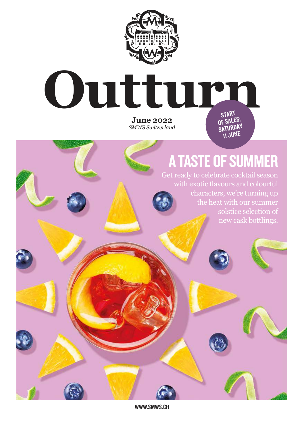

### **Outturn START** OF SALES

**June 2022** *SMWS Switzerland* 

### A TASTE OF SUMMER

**SATURDAY 11 JUNE** 

Get ready to celebrate cocktail season with exotic flavours and colourful solstice selection of





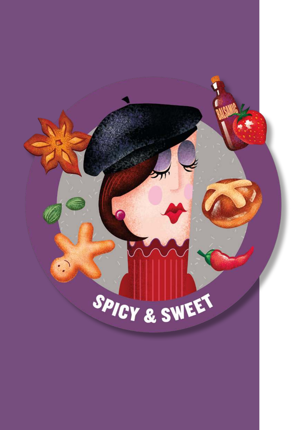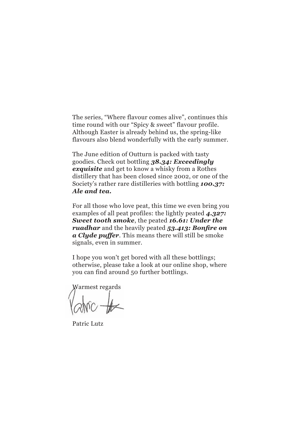The series, "Where flavour comes alive", continues this time round with our "Spicy & sweet" flavour profile. Although Easter is already behind us, the spring-like flavours also blend wonderfully with the early summer.

The June edition of Outturn is packed with tasty goodies. Check out bottling *38.34: Exceedingly exquisite* and get to know a whisky from a Rothes distillery that has been closed since 2002, or one of the Society's rather rare distilleries with bottling *100.37: Ale and tea.*

For all those who love peat, this time we even bring you examples of all peat profiles: the lightly peated *4.327: Sweet tooth smoke*, the peated *16.61: Under the ruadhar* and the heavily peated *53.413: Bonfire on a Clyde puffer*. This means there will still be smoke signals, even in summer.

I hope you won't get bored with all these bottlings; otherwise, please take a look at our online shop, where you can find around 50 further bottlings.

Warmest regards

Patric Lutz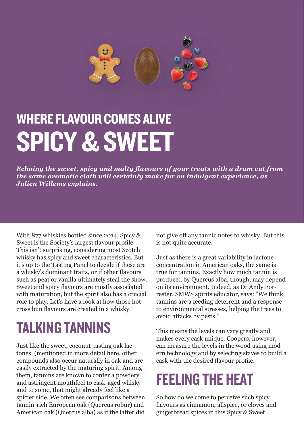

## WHERE FLAVOUR COMES ALIVE SPICY & SWEET

*Echoing the sweet, spicy and malty flavours of your treats with a dram cut from the same aromatic cloth will certainly make for an indulgent experience, as Julien Willems explains.*

With 877 whiskies bottled since 2014, Spicy & Sweet is the Society's largest flavour profile. This isn't surprising, considering most Scotch whisky has spicy and sweet characteristics. But it's up to the Tasting Panel to decide if these are a whisky's dominant traits, or if other flavours such as peat or vanilla ultimately steal the show. Sweet and spicy flavours are mostly associated with maturation, but the spirit also has a crucial role to play. Let's have a look at how those hotcross bun flavours are created in a whisky.

### TALKING TANNINS

Just like the sweet, coconut-tasting oak lactones, (mentioned in more detail here, other compounds also occur naturally in oak and are easily extracted by the maturing spirit. Among them, tannins are known to confer a powdery and astringent mouthfeel to cask-aged whisky and to some, that might already feel like a spicier side. We often see comparisons between tannin-rich European oak (Quercus robur) and American oak (Quercus alba) as if the latter did not give off any tannic notes to whisky. But this is not quite accurate.

Just as there is a great variability in lactone concentration in American oaks, the same is true for tannins. Exactly how much tannin is produced by Quercus alba, though, may depend on its environment. Indeed, as Dr Andy Forrester, SMWS spirits educator, says: "We think tannins are a feeding deterrent and a response to environmental stresses, helping the trees to avoid attacks by pests."

This means the levels can vary greatly and makes every cask unique. Coopers, however, can measure the levels in the wood using modern technology and by selecting staves to build a cask with the desired flavour profile.

### FEELING THE HEAT

So how do we come to perceive such spicy flavours as cinnamon, allspice, or cloves and gingerbread spices in this Spicy & Sweet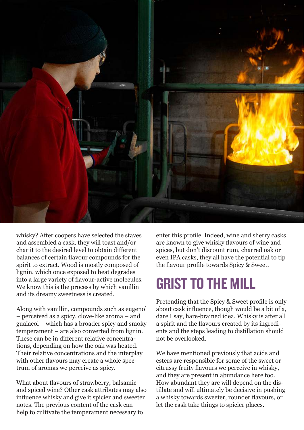

whisky? After coopers have selected the staves and assembled a cask, they will toast and/or char it to the desired level to obtain different balances of certain flavour compounds for the spirit to extract. Wood is mostly composed of lignin, which once exposed to heat degrades into a large variety of flavour-active molecules. We know this is the process by which vanillin and its dreamy sweetness is created.

Along with vanillin, compounds such as eugenol – perceived as a spicy, clove-like aroma – and guaiacol – which has a broader spicy and smoky temperament – are also converted from lignin. These can be in different relative concentrations, depending on how the oak was heated. Their relative concentrations and the interplay with other flavours may create a whole spectrum of aromas we perceive as spicy.

What about flavours of strawberry, balsamic and spiced wine? Other cask attributes may also influence whisky and give it spicier and sweeter notes. The previous content of the cask can help to cultivate the temperament necessary to

enter this profile. Indeed, wine and sherry casks are known to give whisky flavours of wine and spices, but don't discount rum, charred oak or even IPA casks, they all have the potential to tip the flavour profile towards Spicy & Sweet.

### GRIST TO THE MILL

Pretending that the Spicy & Sweet profile is only about cask influence, though would be a bit of a, dare I say, hare-brained idea. Whisky is after all a spirit and the flavours created by its ingredients and the steps leading to distillation should not be overlooked.

We have mentioned previously that acids and esters are responsible for some of the sweet or citrussy fruity flavours we perceive in whisky, and they are present in abundance here too. How abundant they are will depend on the distillate and will ultimately be decisive in pushing a whisky towards sweeter, rounder flavours, or let the cask take things to spicier places.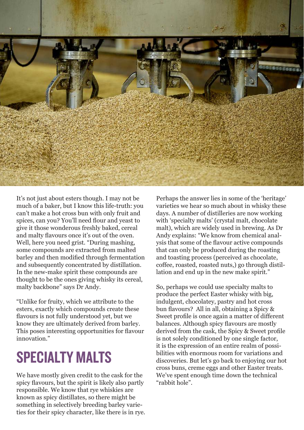

It's not just about esters though. I may not be much of a baker, but I know this life-truth: you can't make a hot cross bun with only fruit and spices, can you? You'll need flour and yeast to give it those wonderous freshly baked, cereal and malty flavours once it's out of the oven. Well, here you need grist. "During mashing, some compounds are extracted from malted barley and then modified through fermentation and subsequently concentrated by distillation. In the new-make spirit these compounds are thought to be the ones giving whisky its cereal, malty backbone" says Dr Andy.

"Unlike for fruity, which we attribute to the esters, exactly which compounds create these flavours is not fully understood yet, but we know they are ultimately derived from barley. This poses interesting opportunities for flavour innovation."

### SPECIALTY MALTS

We have mostly given credit to the cask for the spicy flavours, but the spirit is likely also partly responsible. We know that rye whiskies are known as spicy distillates, so there might be something in selectively breeding barley varieties for their spicy character, like there is in rye.

Perhaps the answer lies in some of the 'heritage' varieties we hear so much about in whisky these days. A number of distilleries are now working with 'specialty malts' (crystal malt, chocolate malt), which are widely used in brewing. As Dr Andy explains: "We know from chemical analysis that some of the flavour active compounds that can only be produced during the roasting and toasting process (perceived as chocolate, coffee, roasted, roasted nuts,) go through distillation and end up in the new make spirit."

So, perhaps we could use specialty malts to produce the perfect Easter whisky with big, indulgent, chocolatey, pastry and hot cross bun flavours? All in all, obtaining a Spicy & Sweet profile is once again a matter of different balances. Although spicy flavours are mostly derived from the cask, the Spicy & Sweet profile is not solely conditioned by one single factor, it is the expression of an entire realm of possibilities with enormous room for variations and discoveries. But let's go back to enjoying our hot cross buns, creme eggs and other Easter treats. We've spent enough time down the technical "rabbit hole".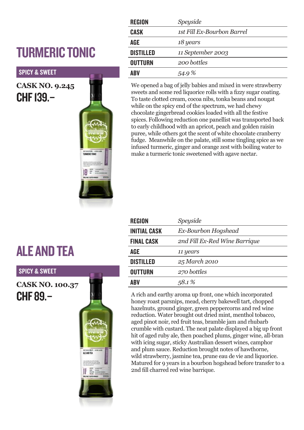### TURMERIC TONIC

SPICY & SWEET

#### **CASK NO. 9.245** CHF 139.–



| REGION    | <i>Speuside</i>            |  |  |
|-----------|----------------------------|--|--|
| CASK      | 1st Fill Ex-Bourbon Barrel |  |  |
| AGE       | 18 years                   |  |  |
| DISTILLED | 11 September 2003          |  |  |
| OUTTURN   | 200 bottles                |  |  |
| ABV       | 54.9%                      |  |  |

We opened a bag of jelly babies and mixed in were strawberry sweets and some red liquorice rolls with a fizzy sugar coating. To taste clotted cream, cocoa nibs, tonka beans and nougat while on the spicy end of the spectrum, we had chewy chocolate gingerbread cookies loaded with all the festive spices. Following reduction one panellist was transported back to early childhood with an apricot, peach and golden raisin puree, while others got the scent of white chocolate cranberry fudge. Meanwhile on the palate, still some tingling spice as we infused turmeric, ginger and orange zest with boiling water to make a turmeric tonic sweetened with agave nectar.

| <b>REGION</b>       | Speyside                      |  |  |
|---------------------|-------------------------------|--|--|
| <b>INITIAL CASK</b> | Ex-Bourbon Hogshead           |  |  |
| <b>FINAL CASK</b>   | 2nd Fill Ex-Red Wine Barrique |  |  |
| AGE                 | 11 years                      |  |  |
| <b>DISTILLED</b>    | 25 March 2010                 |  |  |
| <b>OUTTURN</b>      | 270 bottles                   |  |  |
| ABV                 | 58.1%                         |  |  |
|                     |                               |  |  |

A rich and earthy aroma up front, one which incorporated honey roast parsnips, mead, cherry bakewell tart, chopped hazelnuts, ground ginger, green peppercorns and red wine reduction. Water brought out dried mint, menthol tobacco, aged pinot noir, red fruit teas, bramble jam and rhubarb crumble with custard. The neat palate displayed a big up front hit of aged ruby ale, then poached plums, ginger wine, all-bran with icing sugar, sticky Australian dessert wines, camphor and plum sauce. Reduction brought notes of hawthorne, wild strawberry, jasmine tea, prune eau de vie and liquorice. Matured for 9 years in a bourbon hogshead before transfer to a 2nd fill charred red wine barrique.

### **ALE AND TEA**

SPICY & SWEET

**CASK NO. 100.37** CHF 89.–

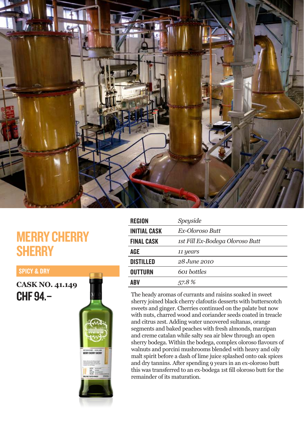

### MERRY CHERRY **SHERRY**

SPICY & DRY

**CASK NO. 41.149** CHF 94.–



| <b>REGION</b>       | <i>Speuside</i>                 |  |  |
|---------------------|---------------------------------|--|--|
| <b>INITIAL CASK</b> | Ex-Oloroso Butt                 |  |  |
| <b>FINAL CASK</b>   | 1st Fill Ex-Bodega Oloroso Butt |  |  |
| AGE                 | 11 years                        |  |  |
| <b>DISTILLED</b>    | 28 June 2010                    |  |  |
| <b>OUTTURN</b>      | 601 bottles                     |  |  |
| ABV                 | 57.8%                           |  |  |

The heady aromas of currants and raisins soaked in sweet sherry joined black cherry clafoutis desserts with butterscotch sweets and ginger. Cherries continued on the palate but now with nuts, charred wood and coriander seeds coated in treacle and citrus zest. Adding water uncovered sultanas, orange segments and baked peaches with fresh almonds, marzipan and creme catalan while salty sea air blew through an open sherry bodega. Within the bodega, complex oloroso flavours of walnuts and porcini mushrooms blended with heavy and oily malt spirit before a dash of lime juice splashed onto oak spices and dry tannins. After spending 9 years in an ex-oloroso butt this was transferred to an ex-bodega 1st fill oloroso butt for the remainder of its maturation.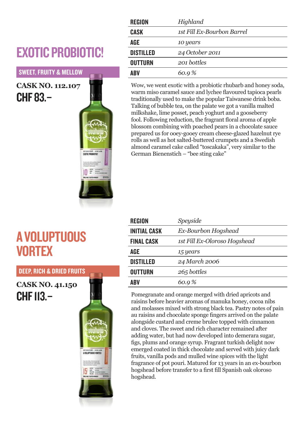### EXOTIC PROBIOTIC!

SWEET, FRUITY & MELLOW

#### **CASK NO. 112.107** CHF 83.–



| REGION    | Highland                   |  |  |  |
|-----------|----------------------------|--|--|--|
| CASK      | 1st Fill Ex-Bourbon Barrel |  |  |  |
| AGE       | 10 years                   |  |  |  |
| DISTILLED | 24 October 2011            |  |  |  |
| OUTTURN   | 201 bottles                |  |  |  |
| ABV       | 60.9%                      |  |  |  |

Wow, we went exotic with a probiotic rhubarb and honey soda, warm miso caramel sauce and lychee flavoured tapioca pearls traditionally used to make the popular Taiwanese drink boba. Talking of bubble tea, on the palate we got a vanilla malted milkshake, lime posset, peach yoghurt and a gooseberry fool. Following reduction, the fragrant floral aroma of apple blossom combining with poached pears in a chocolate sauce prepared us for ooey-gooey cream cheese-glazed hazelnut rye rolls as well as hot salted-buttered crumpets and a Swedish almond caramel cake called "toscakaka", very similar to the German Bienenstich – "bee sting cake"

| Speyside                     |  |  |
|------------------------------|--|--|
| Ex-Bourbon Hogshead          |  |  |
| 1st Fill Ex-Oloroso Hogshead |  |  |
| 15 years                     |  |  |
| 24 March 2006                |  |  |
| 265 bottles                  |  |  |
| 60.9%                        |  |  |
|                              |  |  |

Pomegranate and orange merged with dried apricots and raisins before heavier aromas of manuka honey, cocoa nibs and molasses mixed with strong black tea. Pastry notes of pain au raisins and chocolate sponge fingers arrived on the palate alongside custard and creme brulee topped with cinnamon and cloves. The sweet and rich character remained after adding water, but had now developed into demerara sugar, figs, plums and orange syrup. Fragrant turkish delight now emerged coated in thick chocolate and served with juicy dark fruits, vanilla pods and mulled wine spices with the light fragrance of pot pouri. Matured for 13 years in an ex-bourbon hogshead before transfer to a first fill Spanish oak oloroso hogshead.

### A VOLUPTUOUS VORTEX

#### DEEP, RICH & DRIED FRUITS

**CASK NO. 41.150** CHF 113.–

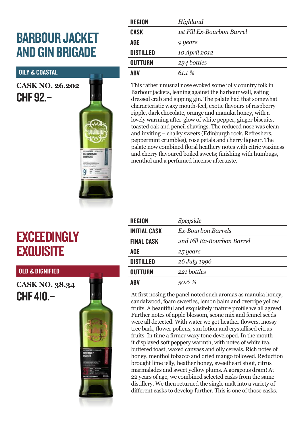### BARBOUR JACKET AND GIN BRIGADE

OILY & COASTAL

#### **CASK NO. 26.202** CHF 92.–



#### REGION *Highland* CASK *1st Fill Ex-Bourbon Barrel* AGE *9 years* DISTILLED *10 April 2012* OUTTURN *234 bottles* ABV *61.1 %*

This rather unusual nose evoked some jolly country folk in Barbour jackets, leaning against the harbour wall, eating dressed crab and sipping gin. The palate had that somewhat characteristic waxy mouth-feel, exotic flavours of raspberry ripple, dark chocolate, orange and manuka honey, with a lovely warming after-glow of white pepper, ginger biscuits, toasted oak and pencil shavings. The reduced nose was clean and inviting – chalky sweets (Edinburgh rock, Refreshers, peppermint crumbles), rose petals and cherry liqueur. The palate now combined floral heathery notes with citric waxiness and cherry flavoured boiled sweets; finishing with humbugs, menthol and a perfumed incense aftertaste.

| REGION              | Speyside                   |  |  |
|---------------------|----------------------------|--|--|
| <b>INITIAL CASK</b> | Ex-Bourbon Barrels         |  |  |
| <b>FINAL CASK</b>   | 2nd Fill Ex-Bourbon Barrel |  |  |
| AGE                 | 25 years                   |  |  |
| <b>DISTILLED</b>    | 26 July 1996               |  |  |
| <b>OUTTURN</b>      | 221 bottles                |  |  |
| ABV                 | 50.6%                      |  |  |
|                     |                            |  |  |

At first nosing the panel noted such aromas as manuka honey, sandalwood, foam sweeties, lemon balm and overripe yellow fruits. A beautiful and exquisitely mature profile we all agreed. Further notes of apple blossom, scone mix and fennel seeds were all detected. With water we got heather flowers, mossy tree bark, flower pollens, sun lotion and crystallised citrus fruits. In time a firmer waxy tone developed. In the mouth it displayed soft peppery warmth, with notes of white tea, buttered toast, waxed canvass and oily cereals. Rich notes of honey, menthol tobacco and dried mango followed. Reduction brought lime jelly, heather honey, sweetheart stout, citrus marmalades and sweet yellow plums. A gorgeous dram! At 22 years of age, we combined selected casks from the same distillery. We then returned the single malt into a variety of different casks to develop further. This is one of those casks.

### **EXCEEDINGLY EXQUISITE**

OLD & DIGNIFIED

**CASK NO. 38.34** CHF 410.–

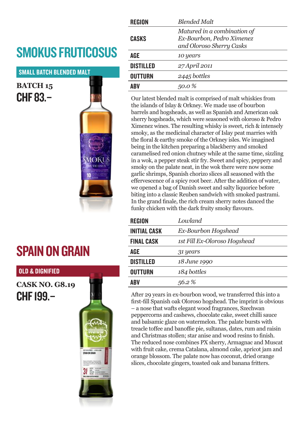| REGION           | <b>Blended Malt</b>                                                                  |  |  |
|------------------|--------------------------------------------------------------------------------------|--|--|
| <b>CASKS</b>     | Matured in a combination of<br>Ex-Bourbon, Pedro Ximenez<br>and Oloroso Sherry Casks |  |  |
| AGE              | 10 years                                                                             |  |  |
| <b>DISTILLED</b> | 27 April 2011                                                                        |  |  |
| <b>OUTTURN</b>   | 2445 bottles                                                                         |  |  |
| <b>ARV</b>       | 50.0 %                                                                               |  |  |

Our latest blended malt is comprised of malt whiskies from the islands of Islay & Orkney. We made use of bourbon barrels and hogsheads, as well as Spanish and American oak sherry hogsheads, which were seasoned with oloroso & Pedro Ximenez wines. The resulting whisky is sweet, rich & intensely smoky, as the medicinal character of Islay peat marries with the floral & earthy smoke of the Orkney isles. We imagined being in the kitchen preparing a blackberry and smoked caramelised red onion chutney while at the same time, sizzling in a wok, a pepper steak stir fry. Sweet and spicy, peppery and smoky on the palate neat, in the wok there were now some garlic shrimps, Spanish chorizo slices all seasoned with the effervescence of a spicy root beer. After the addition of water, we opened a bag of Danish sweet and salty liquorice before biting into a classic Reuben sandwich with smoked pastrami. In the grand finale, the rich cream sherry notes danced the funky chicken with the dark fruity smoky flavours.

| Lowland                      |  |  |
|------------------------------|--|--|
| Ex-Bourbon Hogshead          |  |  |
| 1st Fill Ex-Oloroso Hogshead |  |  |
| 31 years                     |  |  |
| 18 June 1990                 |  |  |
| 184 bottles                  |  |  |
| 56.2%                        |  |  |
|                              |  |  |

After 29 years in ex-bourbon wood, we transferred this into a first-fill Spanish oak Oloroso hogshead. The imprint is obvious – a nose that wafts elegant wood fragrances, Szechwan peppercorns and cashews, chocolate cake, sweet chilli sauce and balsamic glaze on watermelon. The palate bursts with treacle toffee and banoffie pie, sultanas, dates, rum and raisin and Christmas stollen; star anise and wood resins to finish. The reduced nose combines PX sherry, Armagnac and Muscat with fruit cake, crema Catalana, almond cake, apricot jam and orange blossom. The palate now has coconut, dried orange slices, chocolate gingers, toasted oak and banana fritters.

### SMOKUS FRUTICOSUS

#### SMALL BATCH BLENDED MALT

**BATCH 15** CHF 83.–



### SPAIN ON GRAIN

#### OLD & DIGNIFIED

**CASK NO. G8.19** CHF 199.–

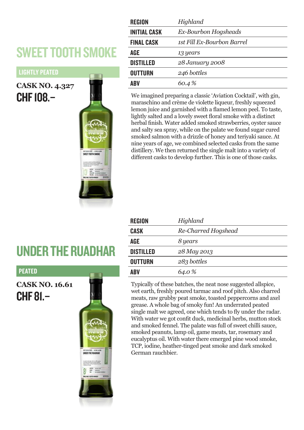### SWEET TOOTH SMOKE

#### LIGHTLY PEATED

#### **CASK NO. 4.327** CHF 108.–



| <b>REGION</b>       | Highland                   |  |  |
|---------------------|----------------------------|--|--|
| <b>INITIAL CASK</b> | Ex-Bourbon Hogsheads       |  |  |
| <b>FINAL CASK</b>   | 1st Fill Ex-Bourbon Barrel |  |  |
| AGE                 | 13 years                   |  |  |
| <b>DISTILLED</b>    | 28 January 2008            |  |  |
| <b>OUTTURN</b>      | 246 bottles                |  |  |
| <b>ABV</b>          | 60.4%                      |  |  |

We imagined preparing a classic 'Aviation Cocktail', with gin, maraschino and crème de violette liqueur, freshly squeezed lemon juice and garnished with a flamed lemon peel. To taste, lightly salted and a lovely sweet floral smoke with a distinct herbal finish. Water added smoked strawberries, oyster sauce and salty sea spray, while on the palate we found sugar cured smoked salmon with a drizzle of honey and teriyaki sauce. At nine years of age, we combined selected casks from the same distillery. We then returned the single malt into a variety of different casks to develop further. This is one of those casks.

| <b>REGION</b>    | Highland            |  |  |
|------------------|---------------------|--|--|
| <b>CASK</b>      | Re-Charred Hogshead |  |  |
| AGE              | 8 years             |  |  |
| <b>DISTILLED</b> | 28 May 2013         |  |  |
| <b>OUTTURN</b>   | 283 bottles         |  |  |
| ABV              | 64.0 %              |  |  |

Typically of these batches, the neat nose suggested allspice, wet earth, freshly poured tarmac and roof pitch. Also charred meats, raw grubby peat smoke, toasted peppercorns and axel grease. A whole bag of smoky fun! An underrated peated single malt we agreed, one which tends to fly under the radar. With water we got confit duck, medicinal herbs, mutton stock and smoked fennel. The palate was full of sweet chilli sauce, smoked peanuts, lamp oil, game meats, tar, rosemary and eucalyptus oil. With water there emerged pine wood smoke, TCP, iodine, heather-tinged peat smoke and dark smoked German rauchbier.

### UNDER THE RUADHAR

**PEATED** 

#### **CASK NO. 16.61** CHF 81.–

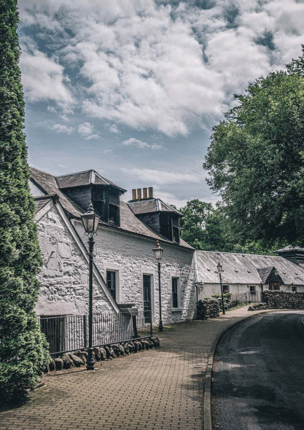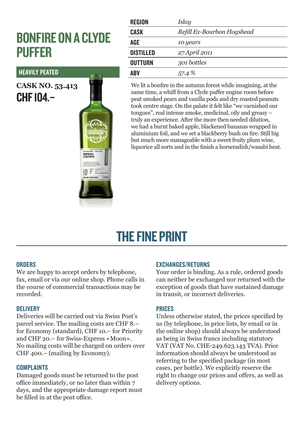### BONFIRE ON A CLYDE **PUFFFR**

HEAVILY PEATED

#### **CASK NO. 53.413** CHF 104.–



| <b>REGION</b>    | Islay                      |
|------------------|----------------------------|
| <b>CASK</b>      | Refill Ex-Bourbon Hogshead |
| AGE              | 10 years                   |
| <b>DISTILLED</b> | 27 April 2011              |
| <b>OUTTURN</b>   | 301 bottles                |
| <b>ABV</b>       | 57.4 %                     |

We lit a bonfire in the autumn forest while imagining, at the same time, a whiff from a Clyde puffer engine room before peat smoked pears and vanilla pods and dry roasted peanuts took centre stage. On the palate it felt like "we varnished our tongues", real intense smoke, medicinal, oily and greasy – truly an experience. After the more then needed dilution, we had a burnt baked apple, blackened bananas wrapped in aluminium foil, and we set a blackberry bush on fire. Still big but much more manageable with a sweet fruity plum wine, liquorice all sorts and in the finish a horseradish/wasabi heat.

### THE FINE PRINT

#### **ORDERS**

We are happy to accept orders by telephone, fax, email or via our online shop. Phone calls in the course of commercial transactions may be recorded.

#### DELIVERY

Deliveries will be carried out via Swiss Post's parcel service. The mailing costs are CHF 8.– for Economy (standard), CHF 10.– for Priority and CHF 20.– for Swiss-Express « Moon ». No mailing costs will be charged on orders over CHF 400.– (mailing by Economy).

#### **COMPLAINTS**

Damaged goods must be returned to the post office immediately, or no later than within 7 days, and the appropriate damage report must be filled in at the post office.

#### EXCHANGES/RETURNS

Your order is binding. As a rule, ordered goods can neither be exchanged nor returned with the exception of goods that have sustained damage in transit, or incorrect deliveries.

#### PRICES

Unless otherwise stated, the prices specified by us (by telephone, in price lists, by email or in the online shop) should always be understood as being in Swiss francs including statutory VAT (VAT No. CHE-249.623.143 TVA). Price information should always be understood as referring to the specified package (in most cases, per bottle). We explicitly reserve the right to change our prices and offers, as well as delivery options.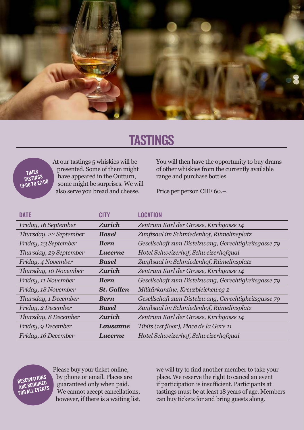

### **TASTINGS**

TIMES TASTINGS<br><sub>19:00</sub> to 22:00 At our tastings 5 whiskies will be presented. Some of them might have appeared in the Outturn, some might be surprises. We will also serve you bread and cheese.

You will then have the opportunity to buy drams of other whiskies from the currently available range and purchase bottles.

Price per person CHF 60.–.

| <b>DATE</b>            | <b>CITY</b>       | I OCATION                                            |
|------------------------|-------------------|------------------------------------------------------|
| Friday, 16 September   | Zurich            | Zentrum Karl der Grosse, Kirchgasse 14               |
| Thursday, 22 September | <b>Basel</b>      | Zunftsaal im Schmiedenhof, Rümelinsplatz             |
| Friday, 23 September   | <b>Bern</b>       | Gesellschaft zum Distelzwang, Gerechtigkeitsgasse 79 |
| Thursday, 29 September | <b>Lucerne</b>    | Hotel Schweizerhof, Schweizerhofquai                 |
| Friday, 4 November     | <b>Basel</b>      | Zunftsaal im Schmiedenhof, Rümelinsplatz             |
| Thursday, 10 November  | Zurich            | Zentrum Karl der Grosse, Kirchgasse 14               |
| Friday, 11 November    | <b>Bern</b>       | Gesellschaft zum Distelzwang, Gerechtigkeitsgasse 79 |
| Friday, 18 November    | <b>St. Gallen</b> | Militärkantine, Kreuzbleicheweg 2                    |
| Thursday, 1 December   | <b>Bern</b>       | Gesellschaft zum Distelzwang, Gerechtigkeitsgasse 79 |
| Friday, 2 December     | <b>Basel</b>      | Zunftsaal im Schmiedenhof, Rümelinsplatz             |
| Thursday, 8 December   | Zurich            | Zentrum Karl der Grosse, Kirchgasse 14               |
| Friday, 9 December     | <b>Lausanne</b>   | Tibits (1st floor), Place de la Gare 11              |
| Friday, 16 December    | Lucerne           | Hotel Schweizerhof, Schweizerhofquai                 |

RESERVATIONS RESERTEQUIRED<br>ARE REQUIRED<br>FOR ALL EVENTS Please buy your ticket online, by phone or email. Places are guaranteed only when paid. We cannot accept cancellations; however, if there is a waiting list, we will try to find another member to take your place. We reserve the right to cancel an event if participation is insufficient. Participants at tastings must be at least 18 years of age. Members can buy tickets for and bring guests along.